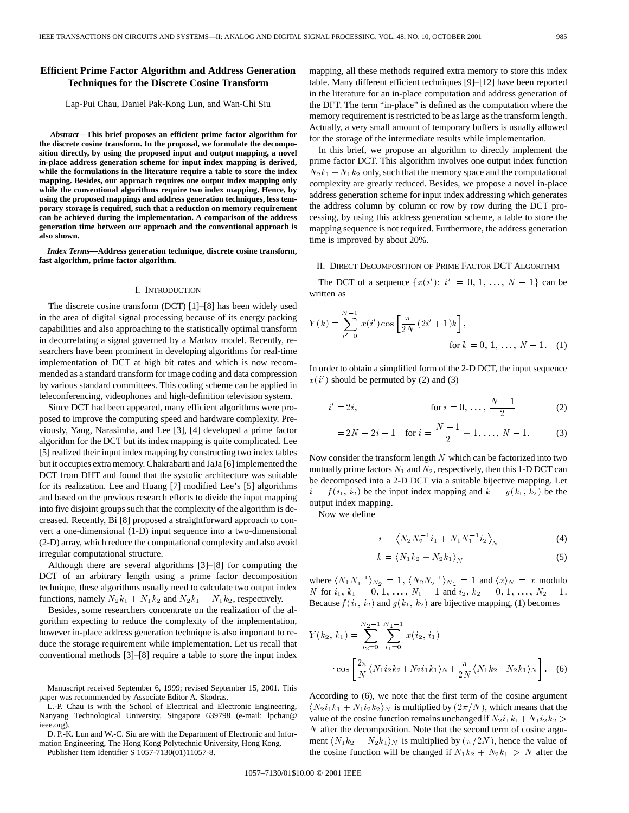# **Efficient Prime Factor Algorithm and Address Generation Techniques for the Discrete Cosine Transform**

Lap-Pui Chau, Daniel Pak-Kong Lun, and Wan-Chi Siu

*Abstract—***This brief proposes an efficient prime factor algorithm for the discrete cosine transform. In the proposal, we formulate the decomposition directly, by using the proposed input and output mapping, a novel in-place address generation scheme for input index mapping is derived, while the formulations in the literature require a table to store the index mapping. Besides, our approach requires one output index mapping only while the conventional algorithms require two index mapping. Hence, by using the proposed mappings and address generation techniques, less temporary storage is required, such that a reduction on memory requirement can be achieved during the implementation. A comparison of the address generation time between our approach and the conventional approach is also shown.**

*Index Terms—***Address generation technique, discrete cosine transform, fast algorithm, prime factor algorithm.**

### I. INTRODUCTION

The discrete cosine transform (DCT) [1]–[8] has been widely used in the area of digital signal processing because of its energy packing capabilities and also approaching to the statistically optimal transform in decorrelating a signal governed by a Markov model. Recently, researchers have been prominent in developing algorithms for real-time implementation of DCT at high bit rates and which is now recommended as a standard transform for image coding and data compression by various standard committees. This coding scheme can be applied in teleconferencing, videophones and high-definition television system.

Since DCT had been appeared, many efficient algorithms were proposed to improve the computing speed and hardware complexity. Previously, Yang, Narasimha, and Lee [3], [4] developed a prime factor algorithm for the DCT but its index mapping is quite complicated. Lee [5] realized their input index mapping by constructing two index tables but it occupies extra memory. Chakrabarti and JaJa [6] implemented the DCT from DHT and found that the systolic architecture was suitable for its realization. Lee and Huang [7] modified Lee's [5] algorithms and based on the previous research efforts to divide the input mapping into five disjoint groups such that the complexity of the algorithm is decreased. Recently, Bi [8] proposed a straightforward approach to convert a one-dimensional (1-D) input sequence into a two-dimensional (2-D) array, which reduce the computational complexity and also avoid irregular computational structure.

Although there are several algorithms [3]–[8] for computing the DCT of an arbitrary length using a prime factor decomposition technique, these algorithms usually need to calculate two output index functions, namely  $N_2k_1 + N_1k_2$  and  $N_2k_1 - N_1k_2$ , respectively.

Besides, some researchers concentrate on the realization of the algorithm expecting to reduce the complexity of the implementation, however in-place address generation technique is also important to reduce the storage requirement while implementation. Let us recall that conventional methods [3]–[8] require a table to store the input index

Manuscript received September 6, 1999; revised September 15, 2001. This paper was recommended by Associate Editor A. Skodras.

L.-P. Chau is with the School of Electrical and Electronic Engineering, Nanyang Technological University, Singapore 639798 (e-mail: lpchau@ ieee.org).

D. P.-K. Lun and W.-C. Siu are with the Department of Electronic and Information Engineering, The Hong Kong Polytechnic University, Hong Kong.

Publisher Item Identifier S 1057-7130(01)11057-8.

mapping, all these methods required extra memory to store this index table. Many different efficient techniques [9]–[12] have been reported in the literature for an in-place computation and address generation of the DFT. The term "in-place" is defined as the computation where the memory requirement is restricted to be as large as the transform length. Actually, a very small amount of temporary buffers is usually allowed for the storage of the intermediate results while implementation.

In this brief, we propose an algorithm to directly implement the prime factor DCT. This algorithm involves one output index function  $N_2k_1 + N_1k_2$  only, such that the memory space and the computational complexity are greatly reduced. Besides, we propose a novel in-place address generation scheme for input index addressing which generates the address column by column or row by row during the DCT processing, by using this address generation scheme, a table to store the mapping sequence is not required. Furthermore, the address generation time is improved by about 20%.

### II. DIRECT DECOMPOSITION OF PRIME FACTOR DCT ALGORITHM

The DCT of a sequence  $\{x(i') : i' = 0, 1, ..., N - 1\}$  can be written as

$$
Y(k) = \sum_{i'=0}^{N-1} x(i') \cos \left[ \frac{\pi}{2N} (2i' + 1)k \right],
$$
  
for  $k = 0, 1, ..., N - 1$ . (1)

In order to obtain a simplified form of the 2-D DCT, the input sequence  $x(i')$  should be permuted by (2) and (3)

$$
i' = 2i,
$$
 for  $i = 0, ..., \frac{N-1}{2}$  (2)

$$
= 2N - 2i - 1 \quad \text{for } i = \frac{N-1}{2} + 1, \dots, N-1.
$$
 (3)

Now consider the transform length  $N$  which can be factorized into two mutually prime factors  $N_1$  and  $N_2$ , respectively, then this 1-D DCT can be decomposed into a 2-D DCT via a suitable bijective mapping. Let  $i = f(i_1, i_2)$  be the input index mapping and  $k = g(k_1, k_2)$  be the output index mapping.

Now we define

$$
i = \left\langle N_2 N_2^{-1} i_1 + N_1 N_1^{-1} i_2 \right\rangle_N \tag{4}
$$

$$
k = \langle N_1 k_2 + N_2 k_1 \rangle_N \tag{5}
$$

where  $\langle N_1 N_1^{-1} \rangle_{N_2} = 1$ ,  $\langle N_2 N_2^{-1} \rangle_{N_1} = 1$  and  $\langle x \rangle_N = x$  modulo N for  $i_1, k_1 = 0, 1, \ldots, N_1 - 1$  and  $i_2, k_2 = 0, 1, \ldots, N_2 - 1$ . Because  $f(i_1, i_2)$  and  $g(k_1, k_2)$  are bijective mapping, (1) becomes

$$
Y(k_2, k_1) = \sum_{i_2=0}^{N_2-1} \sum_{i_1=0}^{N_1-1} x(i_2, i_1)
$$

$$
\cdot \cos \left[ \frac{2\pi}{N} \langle N_1 i_2 k_2 + N_2 i_1 k_1 \rangle_N + \frac{\pi}{2N} \langle N_1 k_2 + N_2 k_1 \rangle_N \right].
$$
 (6)

According to (6), we note that the first term of the cosine argument  $\langle N_2i_1k_1 + N_1i_2k_2 \rangle_N$  is multiplied by  $(2\pi/N)$ , which means that the value of the cosine function remains unchanged if  $N_2i_1k_1+N_1i_2k_2$  >  $N$  after the decomposition. Note that the second term of cosine argument  $\langle N_1k_2 + N_2k_1 \rangle_N$  is multiplied by  $(\pi/2N)$ , hence the value of the cosine function will be changed if  $N_1k_2 + N_2k_1 > N$  after the

1057–7130/01\$10.00 © 2001 IEEE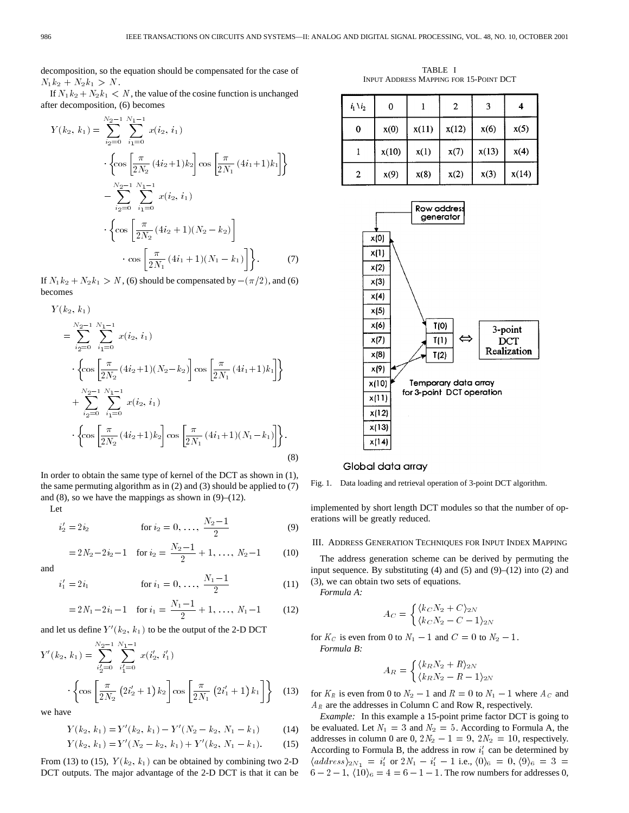decomposition, so the equation should be compensated for the case of  $N_1k_2 + N_2k_1 > N.$ 

If  $N_1k_2 + N_2k_1 < N$ , the value of the cosine function is unchanged after decomposition, (6) becomes

$$
Y(k_2, k_1) = \sum_{i_2=0}^{N_2-1} \sum_{i_1=0}^{N_1-1} x(i_2, i_1)
$$

$$
\cdot \left\{ \cos \left[ \frac{\pi}{2N_2} (4i_2+1)k_2 \right] \cos \left[ \frac{\pi}{2N_1} (4i_1+1)k_1 \right] \right\}
$$

$$
- \sum_{i_2=0}^{N_2-1} \sum_{i_1=0}^{N_1-1} x(i_2, i_1)
$$

$$
\cdot \left\{ \cos \left[ \frac{\pi}{2N_2} (4i_2+1)(N_2-k_2) \right] \right.
$$

$$
\cdot \cos \left[ \frac{\pi}{2N_1} (4i_1+1)(N_1-k_1) \right] \right\}. \tag{7}
$$

If  $N_1k_2 + N_2k_1 > N$ , (6) should be compensated by  $-(\pi/2)$ , and (6) becomes

$$
Y(k_2, k_1)
$$
  
= 
$$
\sum_{i_2=0}^{N_2-1} \sum_{i_1=0}^{N_1-1} x(i_2, i_1)
$$
  

$$
\cdot \left\{ \cos \left[ \frac{\pi}{2N_2} (4i_2+1)(N_2-k_2) \right] \cos \left[ \frac{\pi}{2N_1} (4i_1+1)k_1 \right] \right\}
$$
  
+ 
$$
\sum_{i_2=0}^{N_2-1} \sum_{i_1=0}^{N_1-1} x(i_2, i_1)
$$
  

$$
\cdot \left\{ \cos \left[ \frac{\pi}{2N_2} (4i_2+1)k_2 \right] \cos \left[ \frac{\pi}{2N_1} (4i_1+1)(N_1-k_1) \right] \right\}.
$$
 (8)

In order to obtain the same type of kernel of the DCT as shown in (1), the same permuting algorithm as in (2) and (3) should be applied to (7) and  $(8)$ , so we have the mappings as shown in  $(9)$ – $(12)$ .

Let

$$
i'_2 = 2 i_2 \qquad \text{for } i_2 = 0, \ldots, \frac{N_2 - 1}{2} \qquad (9)
$$

$$
=2N_2-2i_2-1 \quad \text{for } i_2=\frac{N_2-1}{2}+1, \ldots, N_2-1 \qquad (10)
$$

and

$$
i_1' = 2 i_1 \qquad \text{for } i_1 = 0, \dots, \frac{N_1 - 1}{2} \tag{11}
$$

$$
=2N_1-2i_1-1 \text{ for } i_1=\frac{N_1-1}{2}+1,\ldots,N_1-1 \qquad (12)
$$

and let us define  $Y'(k_2, k_1)$  to be the output of the 2-D DCT

$$
Y'(k_2, k_1) = \sum_{i'_2=0}^{N_2-1} \sum_{i'_1=0}^{N_1-1} x(i'_2, i'_1)
$$

$$
\cdot \left\{ \cos \left[ \frac{\pi}{2N_2} \left( 2i'_2 + 1 \right) k_2 \right] \cos \left[ \frac{\pi}{2N_1} \left( 2i'_1 + 1 \right) k_1 \right] \right\} \tag{13}
$$

we have

$$
Y(k_2, k_1) = Y'(k_2, k_1) - Y'(N_2 - k_2, N_1 - k_1)
$$
 (14)

$$
Y(k_2, k_1) = Y'(N_2 - k_2, k_1) + Y'(k_2, N_1 - k_1).
$$
 (15)

From (13) to (15),  $Y(k_2, k_1)$  can be obtained by combining two 2-D DCT outputs. The major advantage of the 2-D DCT is that it can be

TABLE I INPUT ADDRESS MAPPING FOR 15-POINT DCT

| $i_1 \setminus i_2$ | 0     |       | 2     | 3     | 4     |
|---------------------|-------|-------|-------|-------|-------|
| 0                   | x(0)  | x(11) | x(12) | x(6)  | x(5)  |
|                     | x(10) | x(1)  | x(7)  | x(13) | x(4)  |
| 2                   | x(9)  | x(8)  | x(2)  | x(3)  | x(14) |



## Global data array

Fig. 1. Data loading and retrieval operation of 3-point DCT algorithm.

implemented by short length DCT modules so that the number of operations will be greatly reduced.

## III. ADDRESS GENERATION TECHNIQUES FOR INPUT INDEX MAPPING

The address generation scheme can be derived by permuting the input sequence. By substituting (4) and (5) and (9)–(12) into (2) and (3), we can obtain two sets of equations.

*Formula A:*

$$
A_C = \begin{cases} \langle k_C N_2 + C \rangle_{2N} \\ \langle k_C N_2 - C - 1 \rangle_{2N} \end{cases}
$$

for  $K_C$  is even from 0 to  $N_1 - 1$  and  $C = 0$  to  $N_2 - 1$ . *Formula B:*

$$
A_R = \begin{cases} \langle k_R N_2 + R \rangle_{2N} \\ \langle k_R N_2 - R - 1 \rangle_{2N} \end{cases}
$$

for  $K_R$  is even from 0 to  $N_2 - 1$  and  $R = 0$  to  $N_1 - 1$  where  $A_C$  and  $A_R$  are the addresses in Column C and Row R, respectively.

*Example:* In this example a 15-point prime factor DCT is going to be evaluated. Let  $N_1 = 3$  and  $N_2 = 5$ . According to Formula A, the addresses in column 0 are 0,  $2N_2 - 1 = 9$ ,  $2N_2 = 10$ , respectively. According to Formula B, the address in row  $i'_1$  can be determined by  $\langle \text{address} \rangle_{2N_1} = i'_1 \text{ or } 2N_1 - i'_1 - 1 \text{ i.e., } \langle 0 \rangle_6 = 0, \langle 9 \rangle_6 = 3 =$  $6 - 2 - 1$ ,  $\langle 10 \rangle_6 = 4 = 6 - 1 - 1$ . The row numbers for addresses 0,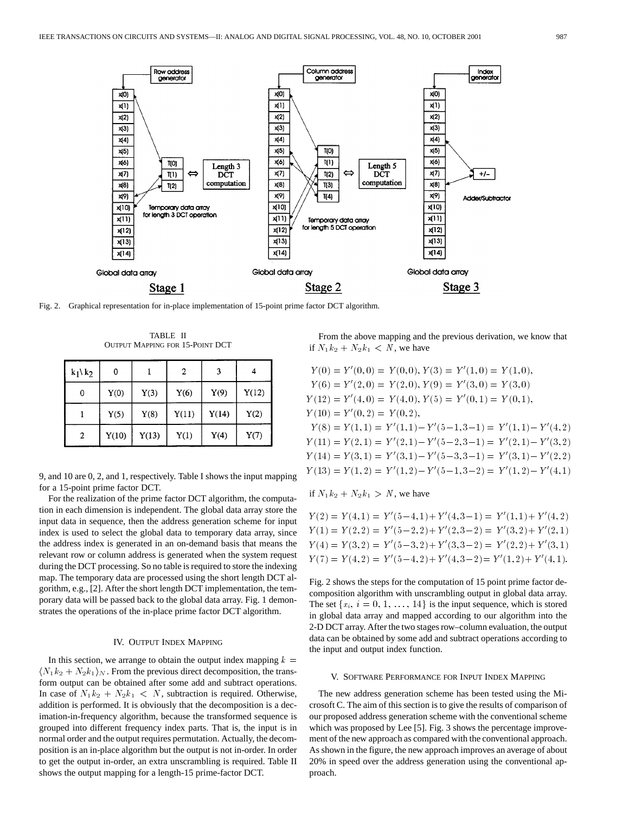

Fig. 2. Graphical representation for in-place implementation of 15-point prime factor DCT algorithm.

TABLE II OUTPUT MAPPING FOR 15-POINT DCT

| $k_1$ k <sub>2</sub> | 0     |       | 2     | 3     |       |
|----------------------|-------|-------|-------|-------|-------|
| 0                    | Y(0)  | Y(3)  | Y(6)  | Y(9)  | Y(12) |
|                      | Y(5)  | Y(8)  | Y(11) | Y(14) | Y(2)  |
| 2                    | Y(10) | Y(13) | Y(1)  | Y(4)  | Y(7)  |

9, and 10 are 0, 2, and 1, respectively. Table I shows the input mapping for a 15-point prime factor DCT.

For the realization of the prime factor DCT algorithm, the computation in each dimension is independent. The global data array store the input data in sequence, then the address generation scheme for input index is used to select the global data to temporary data array, since the address index is generated in an on-demand basis that means the relevant row or column address is generated when the system request during the DCT processing. So no table is required to store the indexing map. The temporary data are processed using the short length DCT algorithm, e.g., [2]. After the short length DCT implementation, the temporary data will be passed back to the global data array. Fig. 1 demonstrates the operations of the in-place prime factor DCT algorithm.

## IV. OUTPUT INDEX MAPPING

In this section, we arrange to obtain the output index mapping  $k =$  $\langle N_1k_2 + N_2k_1 \rangle_N$ . From the previous direct decomposition, the transform output can be obtained after some add and subtract operations. In case of  $N_1k_2 + N_2k_1 < N$ , subtraction is required. Otherwise, addition is performed. It is obviously that the decomposition is a decimation-in-frequency algorithm, because the transformed sequence is grouped into different frequency index parts. That is, the input is in normal order and the output requires permutation. Actually, the decomposition is an in-place algorithm but the output is not in-order. In order to get the output in-order, an extra unscrambling is required. Table II shows the output mapping for a length-15 prime-factor DCT.

From the above mapping and the previous derivation, we know that if  $N_1k_2 + N_2k_1 < N$ , we have

$$
Y(0) = Y'(0,0) = Y(0,0), Y(3) = Y'(1,0) = Y(1,0),
$$
  
\n
$$
Y(6) = Y'(2,0) = Y(2,0), Y(9) = Y'(3,0) = Y(3,0)
$$
  
\n
$$
Y(12) = Y'(4,0) = Y(4,0), Y(5) = Y'(0,1) = Y(0,1),
$$
  
\n
$$
Y(10) = Y'(0,2) = Y(0,2),
$$
  
\n
$$
Y(8) = Y(1,1) = Y'(1,1) - Y'(5-1,3-1) = Y'(1,1) - Y'(4,2)
$$
  
\n
$$
Y(11) = Y(2,1) = Y'(2,1) - Y'(5-2,3-1) = Y'(2,1) - Y'(3,2)
$$
  
\n
$$
Y(14) = Y(3,1) = Y'(3,1) - Y'(5-3,3-1) = Y'(3,1) - Y'(2,2)
$$
  
\n
$$
Y(13) = Y(1,2) = Y'(1,2) - Y'(5-1,3-2) = Y'(1,2) - Y'(4,1)
$$

if  $N_1k_2 + N_2k_1 > N$ , we have

$$
Y(2) = Y(4, 1) = Y'(5-4, 1) + Y'(4, 3-1) = Y'(1, 1) + Y'(4, 2)
$$
  
\n
$$
Y(1) = Y(2, 2) = Y'(5-2, 2) + Y'(2, 3-2) = Y'(3, 2) + Y'(2, 1)
$$
  
\n
$$
Y(4) = Y(3, 2) = Y'(5-3, 2) + Y'(3, 3-2) = Y'(2, 2) + Y'(3, 1)
$$
  
\n
$$
Y(7) = Y(4, 2) = Y'(5-4, 2) + Y'(4, 3-2) = Y'(1, 2) + Y'(4, 1).
$$

Fig. 2 shows the steps for the computation of 15 point prime factor decomposition algorithm with unscrambling output in global data array. The set  ${x_i, i = 0, 1, \ldots, 14}$  is the input sequence, which is stored in global data array and mapped according to our algorithm into the 2-D DCT array. After the two stages row–column evaluation, the output data can be obtained by some add and subtract operations according to the input and output index function.

#### V. SOFTWARE PERFORMANCE FOR INPUT INDEX MAPPING

The new address generation scheme has been tested using the Microsoft C. The aim of this section is to give the results of comparison of our proposed address generation scheme with the conventional scheme which was proposed by Lee [5]. Fig. 3 shows the percentage improvement of the new approach as compared with the conventional approach. As shown in the figure, the new approach improves an average of about 20% in speed over the address generation using the conventional approach.